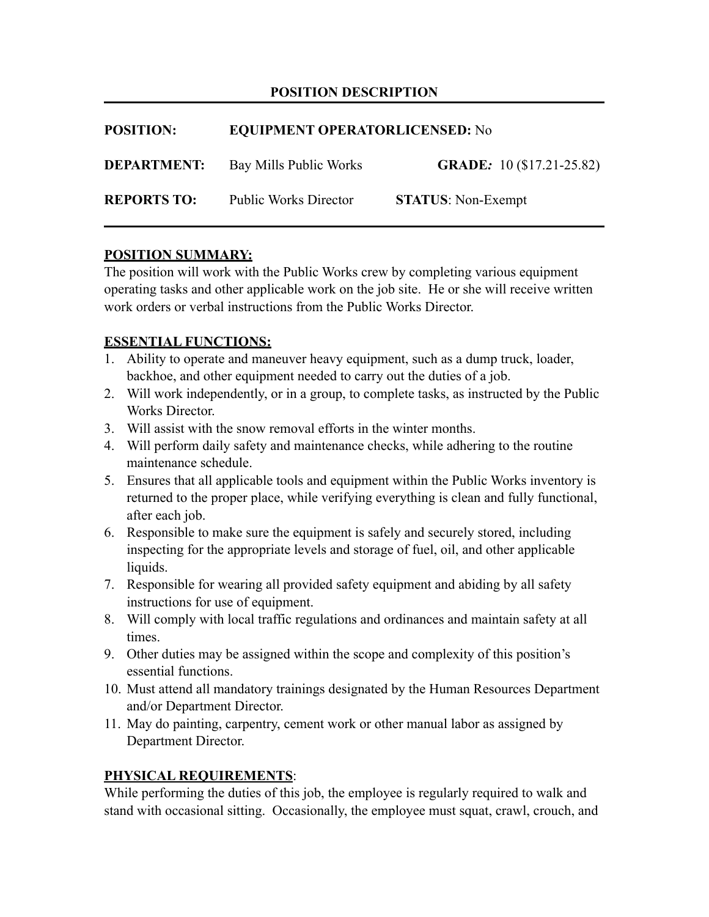## **POSITION DESCRIPTION**

| <b>POSITION:</b>   | <b>EQUIPMENT OPERATORLICENSED: No</b> |                                  |
|--------------------|---------------------------------------|----------------------------------|
| <b>DEPARTMENT:</b> | Bay Mills Public Works                | <b>GRADE:</b> 10 (\$17.21-25.82) |
| <b>REPORTS TO:</b> | <b>Public Works Director</b>          | <b>STATUS:</b> Non-Exempt        |

### **POSITION SUMMARY:**

The position will work with the Public Works crew by completing various equipment operating tasks and other applicable work on the job site. He or she will receive written work orders or verbal instructions from the Public Works Director.

### **ESSENTIAL FUNCTIONS:**

- 1. Ability to operate and maneuver heavy equipment, such as a dump truck, loader, backhoe, and other equipment needed to carry out the duties of a job.
- 2. Will work independently, or in a group, to complete tasks, as instructed by the Public Works Director.
- 3. Will assist with the snow removal efforts in the winter months.
- 4. Will perform daily safety and maintenance checks, while adhering to the routine maintenance schedule.
- 5. Ensures that all applicable tools and equipment within the Public Works inventory is returned to the proper place, while verifying everything is clean and fully functional, after each job.
- 6. Responsible to make sure the equipment is safely and securely stored, including inspecting for the appropriate levels and storage of fuel, oil, and other applicable liquids.
- 7. Responsible for wearing all provided safety equipment and abiding by all safety instructions for use of equipment.
- 8. Will comply with local traffic regulations and ordinances and maintain safety at all times.
- 9. Other duties may be assigned within the scope and complexity of this position's essential functions.
- 10. Must attend all mandatory trainings designated by the Human Resources Department and/or Department Director.
- 11. May do painting, carpentry, cement work or other manual labor as assigned by Department Director.

### **PHYSICAL REQUIREMENTS**:

While performing the duties of this job, the employee is regularly required to walk and stand with occasional sitting. Occasionally, the employee must squat, crawl, crouch, and